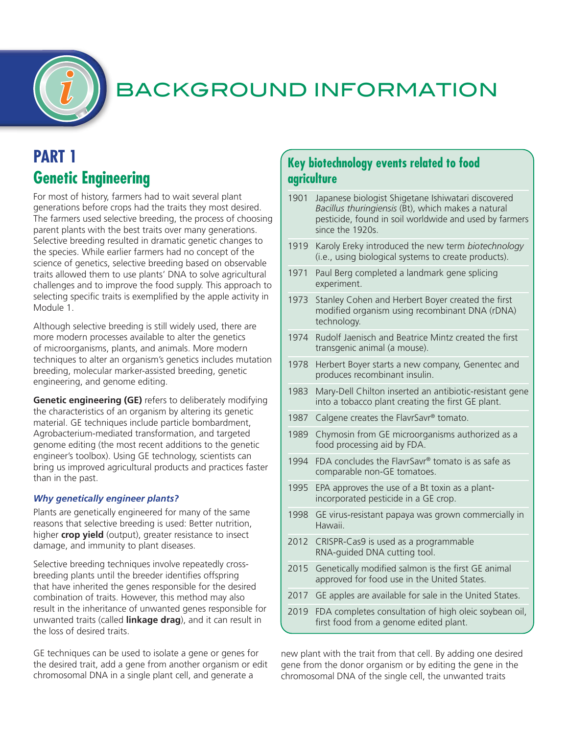

# **PART 1 Genetic Engineering**

For most of history, farmers had to wait several plant generations before crops had the traits they most desired. The farmers used selective breeding, the process of choosing parent plants with the best traits over many generations. Selective breeding resulted in dramatic genetic changes to the species. While earlier farmers had no concept of the science of genetics, selective breeding based on observable traits allowed them to use plants' DNA to solve agricultural challenges and to improve the food supply. This approach to selecting specific traits is exemplified by the apple activity in Module 1.

Although selective breeding is still widely used, there are more modern processes available to alter the genetics of microorganisms, plants, and animals. More modern techniques to alter an organism's genetics includes mutation breeding, molecular marker-assisted breeding, genetic engineering, and genome editing.

**Genetic engineering (GE)** refers to deliberately modifying the characteristics of an organism by altering its genetic material. GE techniques include particle bombardment, Agrobacterium-mediated transformation, and targeted genome editing (the most recent additions to the genetic engineer's toolbox). Using GE technology, scientists can bring us improved agricultural products and practices faster than in the past.

#### *Why genetically engineer plants?*

Plants are genetically engineered for many of the same reasons that selective breeding is used: Better nutrition, higher **crop yield** (output), greater resistance to insect damage, and immunity to plant diseases.

Selective breeding techniques involve repeatedly crossbreeding plants until the breeder identifies offspring that have inherited the genes responsible for the desired combination of traits. However, this method may also result in the inheritance of unwanted genes responsible for unwanted traits (called **linkage drag**), and it can result in the loss of desired traits.

GE techniques can be used to isolate a gene or genes for the desired trait, add a gene from another organism or edit chromosomal DNA in a single plant cell, and generate a

### **Key biotechnology events related to food agriculture**

- 1901 Japanese biologist Shigetane Ishiwatari discovered *Bacillus thuringiensis* (Bt), which makes a natural pesticide, found in soil worldwide and used by farmers since the 1920s.
- 1919 Karoly Ereky introduced the new term *biotechnology* (i.e., using biological systems to create products).
- 1971 Paul Berg completed a landmark gene splicing experiment.
- 1973 Stanley Cohen and Herbert Boyer created the first modified organism using recombinant DNA (rDNA) technology.
- 1974 Rudolf Jaenisch and Beatrice Mintz created the first transgenic animal (a mouse).
- 1978 Herbert Boyer starts a new company, Genentec and produces recombinant insulin.
- 1983 Mary-Dell Chilton inserted an antibiotic-resistant gene into a tobacco plant creating the first GE plant.
- 1987 Calgene creates the FlavrSavr® tomato.
- 1989 Chymosin from GE microorganisms authorized as a food processing aid by FDA.
- 1994 FDA concludes the FlavrSavr® tomato is as safe as comparable non-GE tomatoes.
- 1995 EPA approves the use of a Bt toxin as a plantincorporated pesticide in a GE crop.
- 1998 GE virus-resistant papaya was grown commercially in Hawaii.
- 2012 CRISPR-Cas9 is used as a programmable RNA-guided DNA cutting tool.
- 2015 Genetically modified salmon is the first GE animal approved for food use in the United States.
- 2017 GE apples are available for sale in the United States.
- 2019 FDA completes consultation of high oleic soybean oil, first food from a genome edited plant.

new plant with the trait from that cell. By adding one desired gene from the donor organism or by editing the gene in the chromosomal DNA of the single cell, the unwanted traits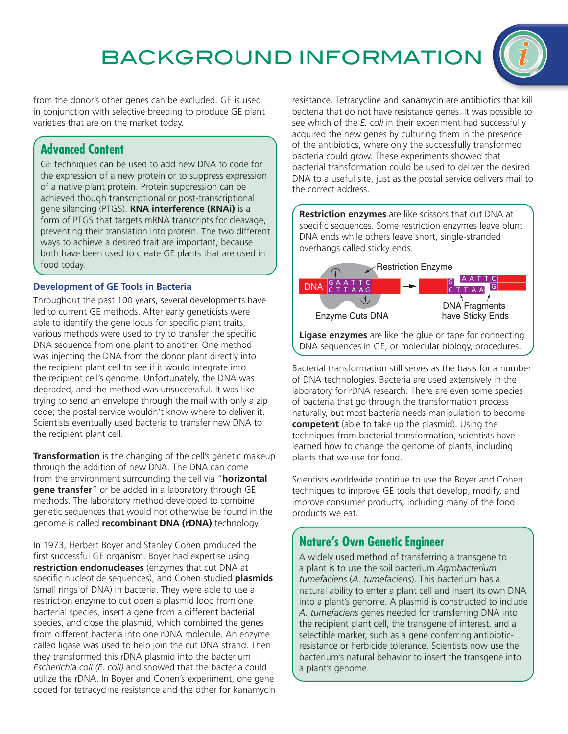

from the donor's other genes can be excluded. GE is used in conjunction with selective breeding to produce GE plant varieties that are on the market today.

## **Advanced Content**

GE techniques can be used to add new DNA to code for the expression of a new protein or to suppress expression of a native plant protein. Protein suppression can be achieved though transcriptional or post-transcriptional gene silencing (PTGS). **RNA interference (RNAi)** is a form of PTGS that targets mRNA transcripts for cleavage, preventing their translation into protein. The two different ways to achieve a desired trait are important, because both have been used to create GE plants that are used in food today.

#### **Development of GE Tools in Bacteria**

Throughout the past 100 years, several developments have led to current GE methods. After early geneticists were able to identify the gene locus for specific plant traits, various methods were used to try to transfer the specific DNA sequence from one plant to another. One method was injecting the DNA from the donor plant directly into the recipient plant cell to see if it would integrate into the recipient cell's genome. Unfortunately, the DNA was degraded, and the method was unsuccessful. It was like trying to send an envelope through the mail with only a zip code; the postal service wouldn't know where to deliver it. Scientists eventually used bacteria to transfer new DNA to the recipient plant cell.

**Transformation** is the changing of the cell's genetic makeup through the addition of new DNA. The DNA can come from the environment surrounding the cell via "**horizontal gene transfer**" or be added in a laboratory through GE methods. The laboratory method developed to combine genetic sequences that would not otherwise be found in the genome is called **recombinant DNA (rDNA)** technology.

In 1973, Herbert Boyer and Stanley Cohen produced the first successful GE organism. Boyer had expertise using **restriction endonucleases** (enzymes that cut DNA at specific nucleotide sequences), and Cohen studied **plasmids** (small rings of DNA) in bacteria. They were able to use a restriction enzyme to cut open a plasmid loop from one bacterial species, insert a gene from a different bacterial species, and close the plasmid, which combined the genes from different bacteria into one rDNA molecule. An enzyme called ligase was used to help join the cut DNA strand. Then they transformed this rDNA plasmid into the bacterium *Escherichia coli (E. coli)* and showed that the bacteria could utilize the rDNA. In Boyer and Cohen's experiment, one gene coded for tetracycline resistance and the other for kanamycin

resistance. Tetracycline and kanamycin are antibiotics that kill bacteria that do not have resistance genes. It was possible to see which of the *E. coli* in their experiment had successfully acquired the new genes by culturing them in the presence of the antibiotics, where only the successfully transformed bacteria could grow. These experiments showed that bacterial transformation could be used to deliver the desired DNA to a useful site, just as the postal service delivers mail to the correct address.

**Restriction enzymes** are like scissors that cut DNA at specific sequences. Some restriction enzymes leave blunt DNA ends while others leave short, single-stranded overhangs called sticky ends.



**Ligase enzymes** are like the glue or tape for connecting DNA sequences in GE, or molecular biology, procedures.

Bacterial transformation still serves as the basis for a number of DNA technologies. Bacteria are used extensively in the laboratory for rDNA research. There are even some species of bacteria that go through the transformation process naturally, but most bacteria needs manipulation to become **competent** (able to take up the plasmid). Using the techniques from bacterial transformation, scientists have learned how to change the genome of plants, including plants that we use for food.

Scientists worldwide continue to use the Boyer and Cohen techniques to improve GE tools that develop, modify, and improve consumer products, including many of the food products we eat.

# **Nature's Own Genetic Engineer**

A widely used method of transferring a transgene to a plant is to use the soil bacterium *Agrobacterium tumefaciens* (*A. tumefaciens*). This bacterium has a natural ability to enter a plant cell and insert its own DNA into a plant's genome. A plasmid is constructed to include *A. tumefaciens* genes needed for transferring DNA into the recipient plant cell, the transgene of interest, and a selectible marker, such as a gene conferring antibioticresistance or herbicide tolerance. Scientists now use the bacterium's natural behavior to insert the transgene into a plant's genome.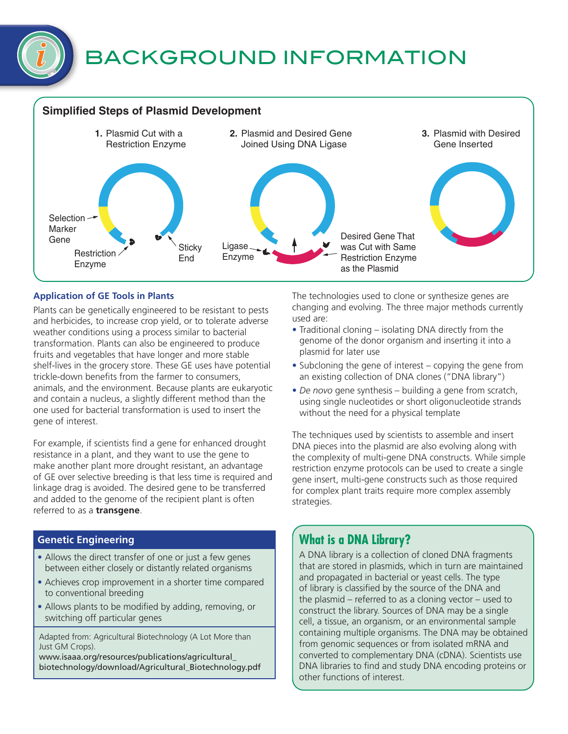### **Simplified Steps of Plasmid Development**



#### **Application of GE Tools in Plants**

Plants can be genetically engineered to be resistant to pests and herbicides, to increase crop yield, or to tolerate adverse weather conditions using a process similar to bacterial transformation. Plants can also be engineered to produce fruits and vegetables that have longer and more stable shelf-lives in the grocery store. These GE uses have potential trickle-down benefits from the farmer to consumers, animals, and the environment. Because plants are eukaryotic and contain a nucleus, a slightly different method than the one used for bacterial transformation is used to insert the gene of interest.

For example, if scientists find a gene for enhanced drought resistance in a plant, and they want to use the gene to make another plant more drought resistant, an advantage of GE over selective breeding is that less time is required and linkage drag is avoided. The desired gene to be transferred and added to the genome of the recipient plant is often referred to as a **transgene**.

#### **Genetic Engineering**

- Allows the direct transfer of one or just a few genes between either closely or distantly related organisms
- Achieves crop improvement in a shorter time compared to conventional breeding
- Allows plants to be modified by adding, removing, or switching off particular genes

Adapted from: Agricultural Biotechnology (A Lot More than Just GM Crops).

[www.isaaa.org/resources/publications/agricultural\\_](http://www.isaaa.org/resources/publications/agricultural_biotechnology/download/Agricultural_Biotechnology.pdf) [biotechnology/download/Agricultural\\_Biotechnology.pdf](http://www.isaaa.org/resources/publications/agricultural_biotechnology/download/Agricultural_Biotechnology.pdf) The technologies used to clone or synthesize genes are changing and evolving. The three major methods currently used are:

- Traditional cloning isolating DNA directly from the genome of the donor organism and inserting it into a plasmid for later use
- Subcloning the gene of interest copying the gene from an existing collection of DNA clones ("DNA library")
- *De novo* gene synthesis building a gene from scratch, using single nucleotides or short oligonucleotide strands without the need for a physical template

The techniques used by scientists to assemble and insert DNA pieces into the plasmid are also evolving along with the complexity of multi-gene DNA constructs. While simple restriction enzyme protocols can be used to create a single gene insert, multi-gene constructs such as those required for complex plant traits require more complex assembly strategies.

# **What is a DNA Library?**

A DNA library is a collection of cloned DNA fragments that are stored in plasmids, which in turn are maintained and propagated in bacterial or yeast cells. The type of library is classified by the source of the DNA and the plasmid – referred to as a cloning vector – used to construct the library. Sources of DNA may be a single cell, a tissue, an organism, or an environmental sample containing multiple organisms. The DNA may be obtained from genomic sequences or from isolated mRNA and converted to complementary DNA (cDNA). Scientists use DNA libraries to find and study DNA encoding proteins or other functions of interest.